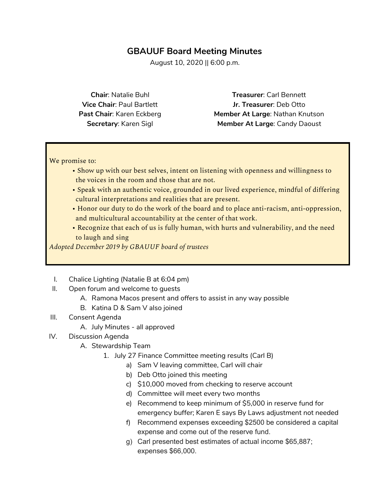# **GBAUUF Board Meeting Minutes**

August 10, 2020 || 6:00 p.m.

**Chair**: Natalie Buhl **Vice Chair**: Paul Bartlett **Past Chair**: Karen Eckberg **Secretary**: Karen Sigl

**Treasurer**: Carl Bennett **Jr. Treasurer**: Deb Otto **Member At Large**: Nathan Knutson **Member At Large**: Candy Daoust

We promise to:

- Show up with our best selves, intent on listening with openness and willingness to the voices in the room and those that are not.
- Speak with an authentic voice, grounded in our lived experience, mindful of differing cultural interpretations and realities that are present.
- Honor our duty to do the work of the board and to place anti-racism, anti-oppression, and multicultural accountability at the center of that work.
- Recognize that each of us is fully human, with hurts and vulnerability, and the need to laugh and sing

*Adopted December 2019 by GBAUUF board of trustees*

- I. Chalice Lighting (Natalie B at 6:04 pm)
- II. Open forum and welcome to guests
	- A. Ramona Macos present and offers to assist in any way possible
	- B. Katina D & Sam V also joined
- III. Consent Agenda
	- A. July Minutes all approved
- IV. Discussion Agenda
	- A. Stewardship Team
		- 1. July 27 Finance Committee meeting results (Carl B)
			- a) Sam V leaving committee, Carl will chair
				- b) Deb Otto joined this meeting
				- c) \$10,000 moved from checking to reserve account
				- d) Committee will meet every two months
				- e) Recommend to keep minimum of \$5,000 in reserve fund for emergency buffer; Karen E says By Laws adjustment not needed
				- f) Recommend expenses exceeding \$2500 be considered a capital expense and come out of the reserve fund.
				- g) Carl presented best estimates of actual income \$65,887; expenses \$66,000.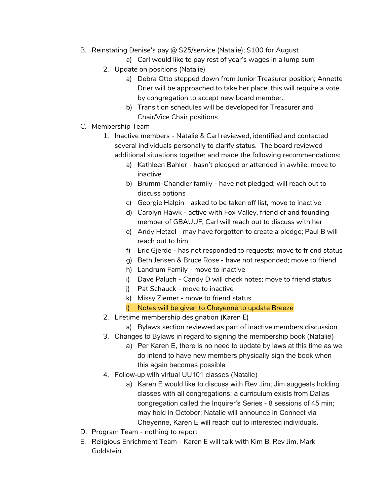- B. Reinstating Denise's pay @ \$25/service (Natalie); \$100 for August
	- a) Carl would like to pay rest of year's wages in a lump sum
	- 2. Update on positions (Natalie)
		- a) Debra Otto stepped down from Junior Treasurer position; Annette Drier will be approached to take her place; this will require a vote by congregation to accept new board member..
		- b) Transition schedules will be developed for Treasurer and Chair/Vice Chair positions
- C. Membership Team
	- 1. Inactive members Natalie & Carl reviewed, identified and contacted several individuals personally to clarify status. The board reviewed additional situations together and made the following recommendations:
		- a) Kathleen Bahler hasn't pledged or attended in awhile, move to inactive
		- b) Brumm-Chandler family have not pledged; will reach out to discuss options
		- c) Georgie Halpin asked to be taken off list, move to inactive
		- d) Carolyn Hawk active with Fox Valley, friend of and founding member of GBAUUF, Carl will reach out to discuss with her
		- e) Andy Hetzel may have forgotten to create a pledge; Paul B will reach out to him
		- f) Eric Gjerde has not responded to requests; move to friend status
		- g) Beth Jensen & Bruce Rose have not responded; move to friend
		- h) Landrum Family move to inactive
		- i) Dave Paluch Candy D will check notes; move to friend status
		- j) Pat Schauck move to inactive
		- k) Missy Ziemer move to friend status
		- l) Notes will be given to Cheyenne to update Breeze
	- 2. Lifetime membership designation (Karen E)
		- a) Bylaws section reviewed as part of inactive members discussion
	- 3. Changes to Bylaws in regard to signing the membership book (Natalie)
		- a) Per Karen E, there is no need to update by laws at this time as we do intend to have new members physically sign the book when this again becomes possible
	- 4. Follow-up with virtual UU101 classes (Natalie)
		- a) Karen E would like to discuss with Rev Jim; Jim suggests holding classes with all congregations; a curriculum exists from Dallas congregation called the Inquirer's Series - 8 sessions of 45 min; may hold in October; Natalie will announce in Connect via Cheyenne, Karen E will reach out to interested individuals.
- D. Program Team nothing to report
- E. Religious Enrichment Team Karen E will talk with Kim B, Rev Jim, Mark Goldstein.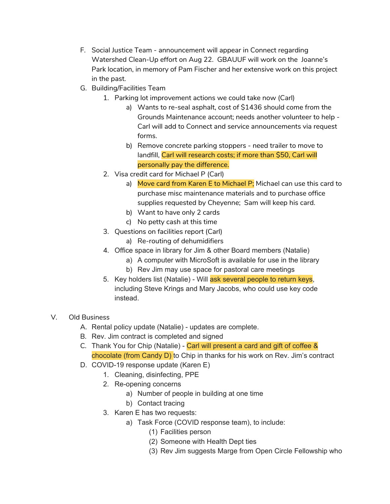- F. Social Justice Team announcement will appear in Connect regarding Watershed Clean-Up effort on Aug 22. GBAUUF will work on the Joanne's Park location, in memory of Pam Fischer and her extensive work on this project in the past.
- G. Building/Facilities Team
	- 1. Parking lot improvement actions we could take now (Carl)
		- a) Wants to re-seal asphalt, cost of \$1436 should come from the Grounds Maintenance account; needs another volunteer to help - Carl will add to Connect and service announcements via request forms.
		- b) Remove concrete parking stoppers need trailer to move to landfill, Carl will research costs; if more than \$50, Carl will personally pay the difference.
	- 2. Visa credit card for Michael P (Carl)
		- a) Move card from Karen E to Michael P; Michael can use this card to purchase misc maintenance materials and to purchase office supplies requested by Cheyenne; Sam will keep his card.
		- b) Want to have only 2 cards
		- c) No petty cash at this time
	- 3. Questions on facilities report (Carl)
		- a) Re-routing of dehumidifiers
	- 4. Office space in library for Jim & other Board members (Natalie)
		- a) A computer with MicroSoft is available for use in the library
			- b) Rev Jim may use space for pastoral care meetings
	- 5. Key holders list (Natalie) Will ask several people to return keys, including Steve Krings and Mary Jacobs, who could use key code instead.

## V. Old Business

- A. Rental policy update (Natalie) updates are complete.
- B. Rev. Jim contract is completed and signed
- C. Thank You for Chip (Natalie) Carl will present a card and gift of coffee & chocolate (from Candy D) to Chip in thanks for his work on Rev. Jim's contract
- D. COVID-19 response update (Karen E)
	- 1. Cleaning, disinfecting, PPE
	- 2. Re-opening concerns
		- a) Number of people in building at one time
		- b) Contact tracing
	- 3. Karen E has two requests:
		- a) Task Force (COVID response team), to include:
			- (1) Facilities person
			- (2) Someone with Health Dept ties
			- (3) Rev Jim suggests Marge from Open Circle Fellowship who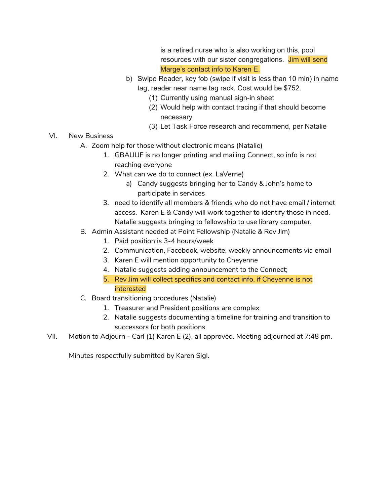is a retired nurse who is also working on this, pool resources with our sister congregations. Jim will send Marge's contact info to Karen E.

- b) Swipe Reader, key fob (swipe if visit is less than 10 min) in name tag, reader near name tag rack. Cost would be \$752.
	- (1) Currently using manual sign-in sheet
	- (2) Would help with contact tracing if that should become necessary
	- (3) Let Task Force research and recommend, per Natalie
- VI. New Business
	- A. Zoom help for those without electronic means (Natalie)
		- 1. GBAUUF is no longer printing and mailing Connect, so info is not reaching everyone
		- 2. What can we do to connect (ex. LaVerne)
			- a) Candy suggests bringing her to Candy & John's home to participate in services
		- 3. need to identify all members & friends who do not have email / internet access. Karen E & Candy will work together to identify those in need. Natalie suggests bringing to fellowship to use library computer.
	- B. Admin Assistant needed at Point Fellowship (Natalie & Rev Jim)
		- 1. Paid position is 3-4 hours/week
		- 2. Communication, Facebook, website, weekly announcements via email
		- 3. Karen E will mention opportunity to Cheyenne
		- 4. Natalie suggests adding announcement to the Connect;
		- 5. Rev Jim will collect specifics and contact info, if Cheyenne is not interested
	- C. Board transitioning procedures (Natalie)
		- 1. Treasurer and President positions are complex
		- 2. Natalie suggests documenting a timeline for training and transition to successors for both positions
- VII. Motion to Adjourn Carl (1) Karen E (2), all approved. Meeting adjourned at 7:48 pm.

Minutes respectfully submitted by Karen Sigl.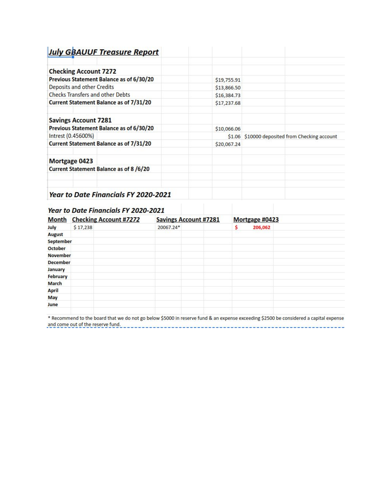| <b>July GBAUUF Treasure Report</b>             |             |                                                |
|------------------------------------------------|-------------|------------------------------------------------|
| <b>Checking Account 7272</b>                   |             |                                                |
| Previous Statement Balance as of 6/30/20       | \$19,755.91 |                                                |
| Deposits and other Credits                     | \$13,866.50 |                                                |
| <b>Checks Transfers and other Debts</b>        | \$16,384.73 |                                                |
| <b>Current Statement Balance as of 7/31/20</b> | \$17,237.68 |                                                |
| <b>Savings Account 7281</b>                    |             |                                                |
| Previous Statement Balance as of 6/30/20       | \$10,066.06 |                                                |
| Intrest (0.45600%)                             |             | \$1.06 \$10000 deposited from Checking account |
| <b>Current Statement Balance as of 7/31/20</b> | \$20,067.24 |                                                |
| Mortgage 0423                                  |             |                                                |
| <b>Current Statement Balance as of 8/6/20</b>  |             |                                                |
| <b>Year to Date Financials FY 2020-2021</b>    |             |                                                |

# **Year to Date Financials FY 2020-2021**

|                  | Month Checking Account #7272 | <b>Savings Account #7281</b> | Mortgage #0423 |  |
|------------------|------------------------------|------------------------------|----------------|--|
| July             | \$17,238                     | 20067.24*                    | \$<br>206,062  |  |
| <b>August</b>    |                              |                              |                |  |
| <b>September</b> |                              |                              |                |  |
| <b>October</b>   |                              |                              |                |  |
| <b>November</b>  |                              |                              |                |  |
| <b>December</b>  |                              |                              |                |  |
| <b>January</b>   |                              |                              |                |  |
| <b>February</b>  |                              |                              |                |  |
| <b>March</b>     |                              |                              |                |  |
| <b>April</b>     |                              |                              |                |  |
| <b>May</b>       |                              |                              |                |  |
| June             |                              |                              |                |  |
|                  |                              |                              |                |  |

\* Recommend to the board that we do not go below \$5000 in reserve fund & an expense exceeding \$2500 be considered a capital expense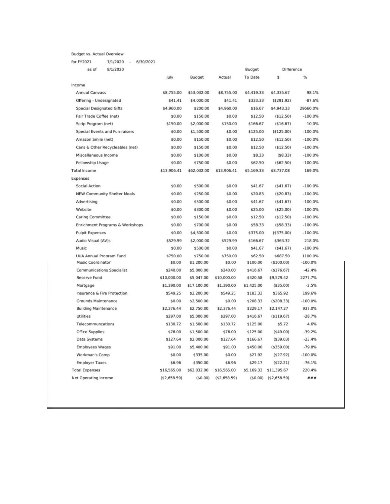## Budget vs. Actual Overview

for FY2021 7/1/2020 - 6/30/2021

| as of<br>8/1/2020                  |              |             |               | Budget     | Difference   |            |
|------------------------------------|--------------|-------------|---------------|------------|--------------|------------|
|                                    | July         | Budget      | Actual        | To Date    | \$           | %          |
| Income                             |              |             |               |            |              |            |
| Annual Canvass                     | \$8,755.00   | \$53,032.00 | \$8,755.00    | \$4,419.33 | \$4,335.67   | 98.1%      |
| Offering - Undesignated            | \$41.41      | \$4,000.00  | \$41.41       | \$333.33   | (5291.92)    | $-87.6%$   |
| <b>Special Designated Gifts</b>    | \$4,960.00   | \$200.00    | \$4,960.00    | \$16.67    | \$4,943.33   | 29660.0%   |
| Fair Trade Coffee (net)            | \$0.00       | \$150.00    | \$0.00        | \$12.50    | (512.50)     | $-100.0%$  |
| Scrip Program (net)                | \$150.00     | \$2,000.00  | \$150.00      | \$166.67   | ( \$16.67)   | $-10.0%$   |
| Special Events and Fun-raisers     | \$0.00       | \$1,500.00  | \$0.00        | \$125.00   | (\$125.00)   | $-100.0\%$ |
| Amazon Smile (net)                 | \$0.00       | \$150.00    | \$0.00        | \$12.50    | (512.50)     | $-100.0\%$ |
| Cans & Other Recycleables (net)    | \$0.00       | \$150.00    | \$0.00        | \$12.50    | (\$12.50)    | $-100.0%$  |
| Miscellaneous Income               | \$0.00       | \$100.00    | \$0.00        | \$8.33     | ( \$8.33)    | $-100.0\%$ |
| Fellowship Usage                   | \$0.00       | \$750.00    | \$0.00        | \$62.50    | ( \$62.50)   | $-100.0%$  |
| <b>Total Income</b>                | \$13,906.41  | \$62,032.00 | \$13,906.41   | \$5,169.33 | \$8,737.08   | 169.0%     |
| Expenses                           |              |             |               |            |              |            |
| Social Action                      | \$0.00       | \$500.00    | \$0.00        | \$41.67    | (541.67)     | $-100.0%$  |
| <b>NEW Community Shelter Meals</b> | \$0.00       | \$250.00    | \$0.00        | \$20.83    | (520.83)     | $-100.0%$  |
| Advertising                        | \$0.00       | \$500.00    | \$0.00        | \$41.67    | (541.67)     | $-100.0%$  |
| Website                            | \$0.00       | \$300.00    | \$0.00        | \$25.00    | (\$25.00)    | $-100.0\%$ |
| Caring Committee                   | \$0.00       | \$150.00    | \$0.00        | \$12.50    | (\$12.50)    | $-100.0\%$ |
| Enrichment Programs & Workshops    | \$0.00       | \$700.00    | \$0.00        | \$58.33    | (558.33)     | $-100.0%$  |
| <b>Pulpit Expenses</b>             | \$0.00       | \$4,500.00  | \$0.00        | \$375.00   | ( \$375.00)  | $-100.0%$  |
| Audio Visual (AV)s                 | \$529.99     | \$2,000.00  | \$529.99      | \$166.67   | \$363.32     | 218.0%     |
| Music                              | \$0.00       | \$500.00    | \$0.00        | \$41.67    | (541.67)     | $-100.0\%$ |
| <b>UUA Annual Program Fund</b>     | \$750.00     | \$750.00    | \$750.00      | \$62.50    | \$687.50     | 1100.0%    |
| Music Coordinator                  | \$0.00       | \$1,200.00  | \$0.00        | \$100.00   | (\$100.00)   | $-100.0\%$ |
| <b>Communications Specialist</b>   | \$240.00     | \$5,000.00  | \$240.00      | \$416.67   | ( \$176.67)  | $-42.4%$   |
| Reserve Fund                       | \$10,000.00  | \$5,047.00  | \$10,000.00   | \$420.58   | \$9,579.42   | 2277.7%    |
| Mortgage                           | \$1,390.00   | \$17,100.00 | \$1,390.00    | \$1,425.00 | (535.00)     | $-2.5%$    |
| Insurance & Fire Protection        | \$549.25     | \$2,200.00  | \$549.25      | \$183.33   | \$365.92     | 199.6%     |
| Grounds Maintenance                | \$0.00       | \$2,500.00  | \$0.00        | \$208.33   | (5208.33)    | $-100.0\%$ |
| <b>Building Maintenance</b>        | \$2,376.44   | \$2,750.00  | \$2,376.44    | \$229.17   | \$2,147.27   | 937.0%     |
| Utilities                          | \$297.00     | \$5,000.00  | \$297.00      | \$416.67   | ( \$119.67)  | $-28.7%$   |
| Telecommuncations                  | \$130.72     | \$1,500.00  | \$130.72      | \$125.00   | \$5.72       | 4.6%       |
| Office Supplies                    | \$76.00      | \$1,500.00  | \$76.00       | \$125.00   | (549.00)     | $-39.2%$   |
| Data Systems                       | \$127.64     | \$2,000.00  | \$127.64      | \$166.67   | (539.03)     | $-23.4%$   |
| <b>Employees Wages</b>             | \$91.00      | \$5,400.00  | \$91.00       | \$450.00   | ( \$359.00)  | $-79.8%$   |
| Workman's Comp                     | \$0.00       | \$335.00    | \$0.00        | \$27.92    | (527.92)     | $-100.0\%$ |
| <b>Employer Taxes</b>              | \$6.96       | \$350.00    | \$6.96        | \$29.17    | (522.21)     | $-76.1%$   |
| <b>Total Expenses</b>              | \$16,565.00  | \$62,032.00 | \$16,565.00   | \$5,169.33 | \$11,395.67  | 220.4%     |
| Net Operating Income               | (\$2,658.59) | (50.00)     | ( \$2,658.59) | (50.00)    | (\$2,658.59) | ###        |
|                                    |              |             |               |            |              |            |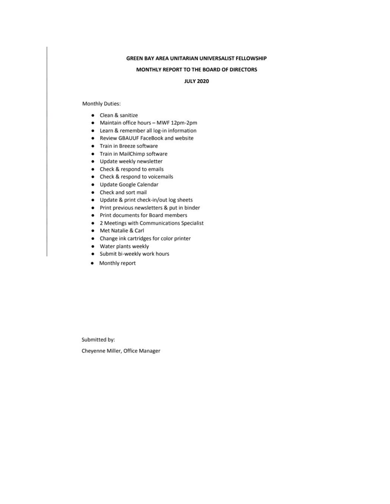### GREEN BAY AREA UNITARIAN UNIVERSALIST FELLOWSHIP

#### MONTHLY REPORT TO THE BOARD OF DIRECTORS

### **JULY 2020**

**Monthly Duties:** 

- Clean & sanitize
- Maintain office hours MWF 12pm-2pm
- Learn & remember all log-in information
- Review GBAUUF FaceBook and website
- Train in Breeze software
- Train in MailChimp software
- · Update weekly newsletter
- Check & respond to emails
- Check & respond to voicemails
- · Update Google Calendar
- Check and sort mail
- Update & print check-in/out log sheets
- Print previous newsletters & put in binder
- Print documents for Board members
- 2 Meetings with Communications Specialist
- Met Natalie & Carl
- $\bullet$ Change ink cartridges for color printer
- Water plants weekly
- · Submit bi-weekly work hours
- Monthly report

Submitted by:

Cheyenne Miller, Office Manager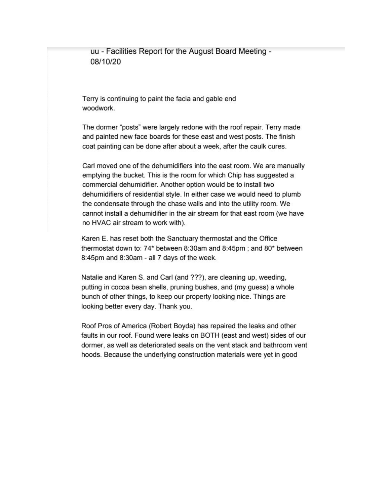uu - Facilities Report for the August Board Meeting -08/10/20

Terry is continuing to paint the facia and gable end woodwork.

The dormer "posts" were largely redone with the roof repair. Terry made and painted new face boards for these east and west posts. The finish coat painting can be done after about a week, after the caulk cures.

Carl moved one of the dehumidifiers into the east room. We are manually emptying the bucket. This is the room for which Chip has suggested a commercial dehumidifier. Another option would be to install two dehumidifiers of residential style. In either case we would need to plumb the condensate through the chase walls and into the utility room. We cannot install a dehumidifier in the air stream for that east room (we have no HVAC air stream to work with).

Karen E. has reset both the Sanctuary thermostat and the Office thermostat down to: 74\* between 8:30am and 8:45pm; and 80\* between 8:45pm and 8:30am - all 7 days of the week.

Natalie and Karen S. and Carl (and ???), are cleaning up, weeding, putting in cocoa bean shells, pruning bushes, and (my guess) a whole bunch of other things, to keep our property looking nice. Things are looking better every day. Thank you.

Roof Pros of America (Robert Boyda) has repaired the leaks and other faults in our roof. Found were leaks on BOTH (east and west) sides of our dormer, as well as deteriorated seals on the vent stack and bathroom vent hoods. Because the underlying construction materials were yet in good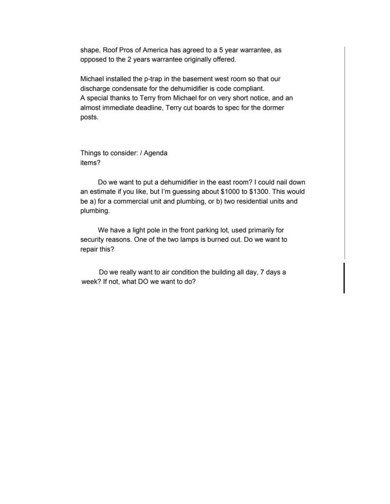shape, Roof Pros of America has agreed to a 5 year warrantee, as opposed to the 2 years warrantee originally offered.

Michael installed the p-trap in the basement west room so that our discharge condensate for the dehumidifier is code compliant. A special thanks to Terry from Michael for on very short notice, and an almost immediate deadline, Terry cut boards to spec for the dormer posts.

Things to consider: / Agenda items?

Do we want to put a dehumidifier in the east room? I could nail down an estimate if you like, but I'm guessing about \$1000 to \$1300. This would be a) for a commercial unit and plumbing, or b) two residential units and plumbing.

We have a light pole in the front parking lot, used primarily for security reasons. One of the two lamps is burned out. Do we want to repair this?

Do we really want to air condition the building all day, 7 days a week? If not, what DO we want to do?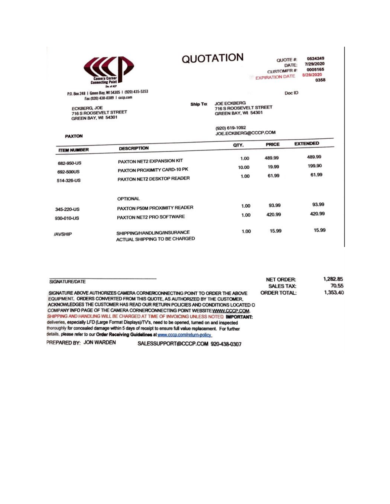| <b>Camera Corner</b><br><b>Connecting Point</b><br>Div. of ACP                   |
|----------------------------------------------------------------------------------|
| P.O. Box 248   Green Bay, WI 54305   (920) 435-5353<br>----- --- ----<br>------- |

Fax (920) 438-0389 | cccp.com

QUOTATION

QUOTE #: 0524249 7/29/2020 DATE: **CUSTOMFR#:** 0005165 8/28/2020 **EXPIRATION DATE** 0358

Doc ID

ECKBERG, JOE<br>716 S ROOSEVELT STREET<br>GREEN BAY, WI 54301

**PAXTON** 

Ship Tα JOE ECKBERG<br>716 S ROOSEVELT STREET<br>GREEN BAY, WI 54301 (920) 619-1092

JOE.ECKBERG@CCCP.COM

|                    |                               | QTY.  | <b>PRICE</b> | <b>EXTENDED</b> |
|--------------------|-------------------------------|-------|--------------|-----------------|
| <b>ITEM NUMBER</b> | <b>DESCRIPTION</b>            |       |              |                 |
|                    | PAXTON NET2 EXPANSION KIT     | 1.00  | 489.99       | 489.99          |
| 682-950-US         |                               | 10.00 | 19.99        | 199.90          |
| 692-500US          | PAXTON PROXIMITY CARD-10 PK   |       | 61.99        | 61.99           |
| 514-326-US         | PAXTON NET2 DESKTOP READER    | 1.00  |              |                 |
|                    | <b>OPTIONAL</b>               |       |              |                 |
| 345-220-US         | PAXTON P50M PROXIMITY READER  | 1.00  | 93.99        | 93.99           |
|                    |                               | 1.00  | 420.99       | 420.99          |
| 930-010-US         | PAXTON NET2 PRO SOFTWARE      |       |              |                 |
| <b>AVSHIP</b>      | SHIPPING/HANDLING/INSURANCE   | 1.00  | 15.99        | 15.99           |
|                    | ACTUAL SHIPPING TO BE CHARGED |       |              |                 |

| SIGNATURE/DATE          |                                                                                                                                                                                                                                                                                                                                                                                                                                                                                                                                                                                                                                                                                                                                | <b>NET ORDER:</b>   | 1,282.85 |
|-------------------------|--------------------------------------------------------------------------------------------------------------------------------------------------------------------------------------------------------------------------------------------------------------------------------------------------------------------------------------------------------------------------------------------------------------------------------------------------------------------------------------------------------------------------------------------------------------------------------------------------------------------------------------------------------------------------------------------------------------------------------|---------------------|----------|
|                         |                                                                                                                                                                                                                                                                                                                                                                                                                                                                                                                                                                                                                                                                                                                                | <b>SALES TAX:</b>   | 70.55    |
|                         | SIGNATURE ABOVE AUTHORIZES CAMERA CORNERICONNECTING POINT TO ORDER THE ABOVE<br>EQUIPMENT, ORDERS CONVERTED FROM THIS QUOTE, AS AUTHORIZED BY THE CUSTOMER.<br>ACKNOWLEDGES THE CUSTOMER HAS READ OUR RETURN POLICIES AND CONDITIONS LOCATED O<br>COMPANY INFO PAGE OF THE CAMERA CORNERCONNECTING POINT WEBSITE WWW.CCCP.COM.<br>SHIPPING AND HANDLING WILL BE CHARGED AT TIME OF INVOICING UNLESS NOTED IMPORTANT:<br>deliveries, especially LFD (Large Format Displays)/TV's, need to be opened, turned on and inspected<br>thoroughly for concealed damage within 5 days of receipt to ensure full value replacement. For further<br>details, please refer to our Order Receiving Guidelines at www.cccp.com/return-policy | <b>ORDER TOTAL:</b> | 1,353,40 |
|                         |                                                                                                                                                                                                                                                                                                                                                                                                                                                                                                                                                                                                                                                                                                                                |                     |          |
| PREPARED BY: JON WARDEN | SALESSUPPORT@CCCP.COM 920-438-0307                                                                                                                                                                                                                                                                                                                                                                                                                                                                                                                                                                                                                                                                                             |                     |          |